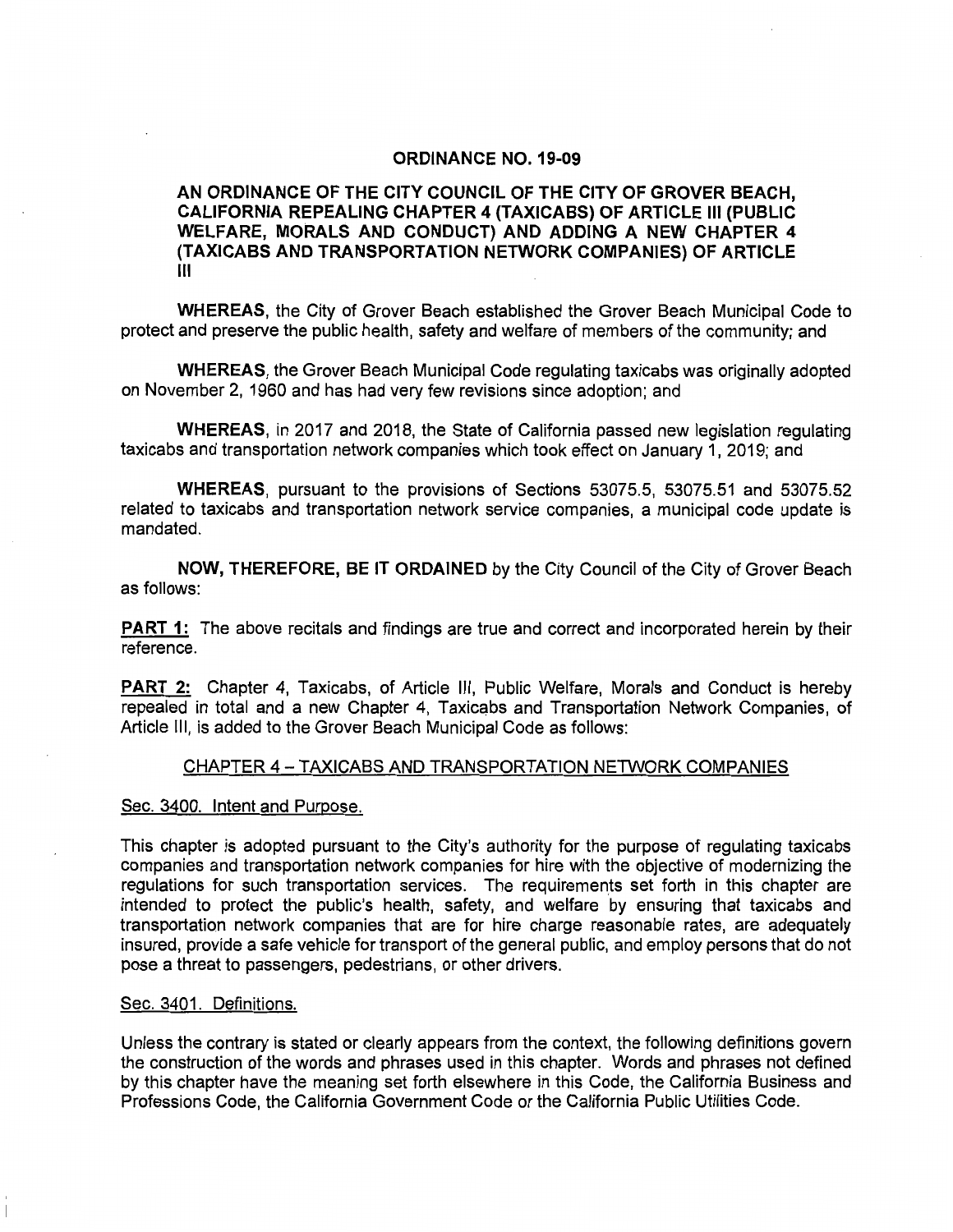#### **ORDINANCE NO. 19-09**

### **AN ORDINANCE OF THE CITY COUNCIL OF THE CITY OF GROVER BEACH, CALIFORNIA REPEALING CHAPTER 4 (TAXICABS) OF ARTICLE Ill (PUBLIC WELFARE, MORALS AND CONDUCT) AND ADDING A NEW CHAPTER 4 (TAXICABS AND TRANSPORTATION NETWORK COMPANIES) OF ARTICLE**  Ill

**WHEREAS,** the City of Grover Beach established the Grover Beach Municipal Code to protect and preserve the public health, safety and welfare of members of the community; and

**WHEREAS,** the Grover Beach Municipal Code regulating taxicabs was originally adopted on November 2, 1960 and has had very few revisions since adoption; and

**WHEREAS,** in 2017 and 2018, the State of California passed new legislation regulating taxicabs and transportation network companies which took effect on January 1, 2019; and

**WHEREAS,** pursuant to the provisions of Sections 53075.5, 53075.51 and 53075.52 related to taxicabs and transportation network service companies, a municipal code update is mandated.

**NOW, THEREFORE, BE IT ORDAINED** by the City Council of the City of Grover Beach as follows:

**PART 1:** The above recitals and findings are true and correct and incorporated herein by their reference.

**PART 2:** Chapter 4, Taxicabs, of Article Ill, Public Welfare, Morals and Conduct is hereby repealed in total and a new Chapter 4, Taxicabs and Transportation Network Companies, of Article Ill, is added to the Grover Beach Municipal Code as follows:

#### CHAPTER 4 - TAXICABS AND TRANSPORTATION NETWORK COMPANIES

Sec. 3400. Intent and Purpose.

This chapter is adopted pursuant to the City's authority for the purpose of regulating taxicabs companies and transportation network companies for hire with the objective of modernizing the regulations for such transportation services. The requirements set forth in this chapter are intended to protect the public's health, safety, and welfare by ensuring that taxicabs and transportation network companies that are for hire charge reasonable rates, are adequately insured, provide a safe vehicle for transport of the general public, and employ persons that do not pose a threat to passengers, pedestrians, or other drivers.

### Sec. 3401. Definitions.

Unless the contrary is stated or clearly appears from the context, the following definitions govern the construction of the words and phrases used in this chapter. Words and phrases not defined by this chapter have the meaning set forth elsewhere in this Code, the California Business and Professions Code, the California Government Code or the California Public Utilities Code.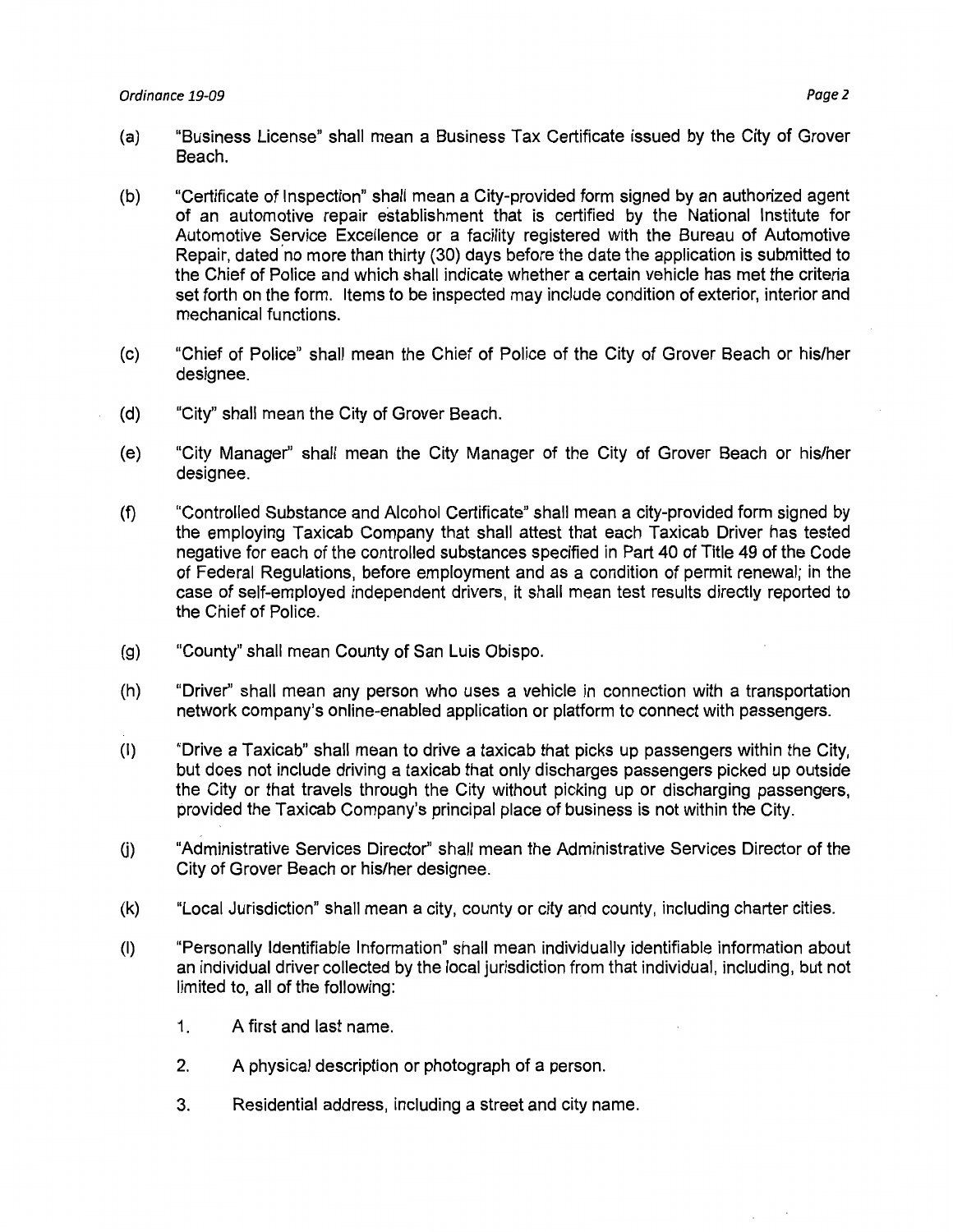- (a) "Business License" shall mean a Business Tax Certificate issued by the City of Grover Beach.
- (b) "Certificate of Inspection" shall mean a City-provided form signed by an authorized agent of an automotive repair establishment that is certified by the National Institute for Automotive Service Excellence or a facility registered with the Bureau of Automotive Repair, dated 'no more than thirty (30) days before the date the application is submitted to the Chief of Police and which shall indicate whether a certain vehicle has met the criteria set forth on the form. Items to be inspected may include condition of exterior, interior and mechanical functions.
- (c) "Chief of Police" shall mean the Chief of Police of the City of Grover Beach or his/her designee.
- (d) "City" shall mean the City of Grover Beach.
- (e) "City Manager" shall mean the City Manager of the City of Grover Beach or his/her designee.
- (f) "Controlled Substance and Alcohol Certificate" shall mean a city-provided form signed by the employing Taxicab Company that shall attest that each Taxicab Driver has tested negative for each of the controlled substances specified in Part 40 of Title 49 of the Code of Federal Regulations, before employment and as a condition of permit renewal; in the case of self-employed independent drivers, it shall mean test results directly reported to the Chief of Police.
- (g) "County" shall mean County of San Luis Obispo.
- (h) "Driver'' shall mean any person who uses a vehicle in connection with a transportation network company's online-enabled application or platform to connect with passengers.
- (I) "Drive a Taxicab" shall mean to drive a taxicab that picks up passengers within the City, but does not include driving a taxicab that only discharges passengers picked up outside the City or that travels through the City without picking up or discharging passengers, provided the Taxicab Company's principal place of business is not within the City.
- U) "Administrative Services Director'' shall mean the Administrative Services Director of the City of Grover Beach or his/her designee.
- (k) "Local Jurisdiction" shall mean a city, county or city and county, including charter cities.
- (I) "Personally Identifiable Information" shall mean individually identifiable information about an individual driver collected by the local jurisdiction from that individual, including, but not limited to, all of the following:
	- 1. A first and last name.
	- 2. A physical description or photograph of a person.
	- 3. Residential address, including a street and city name.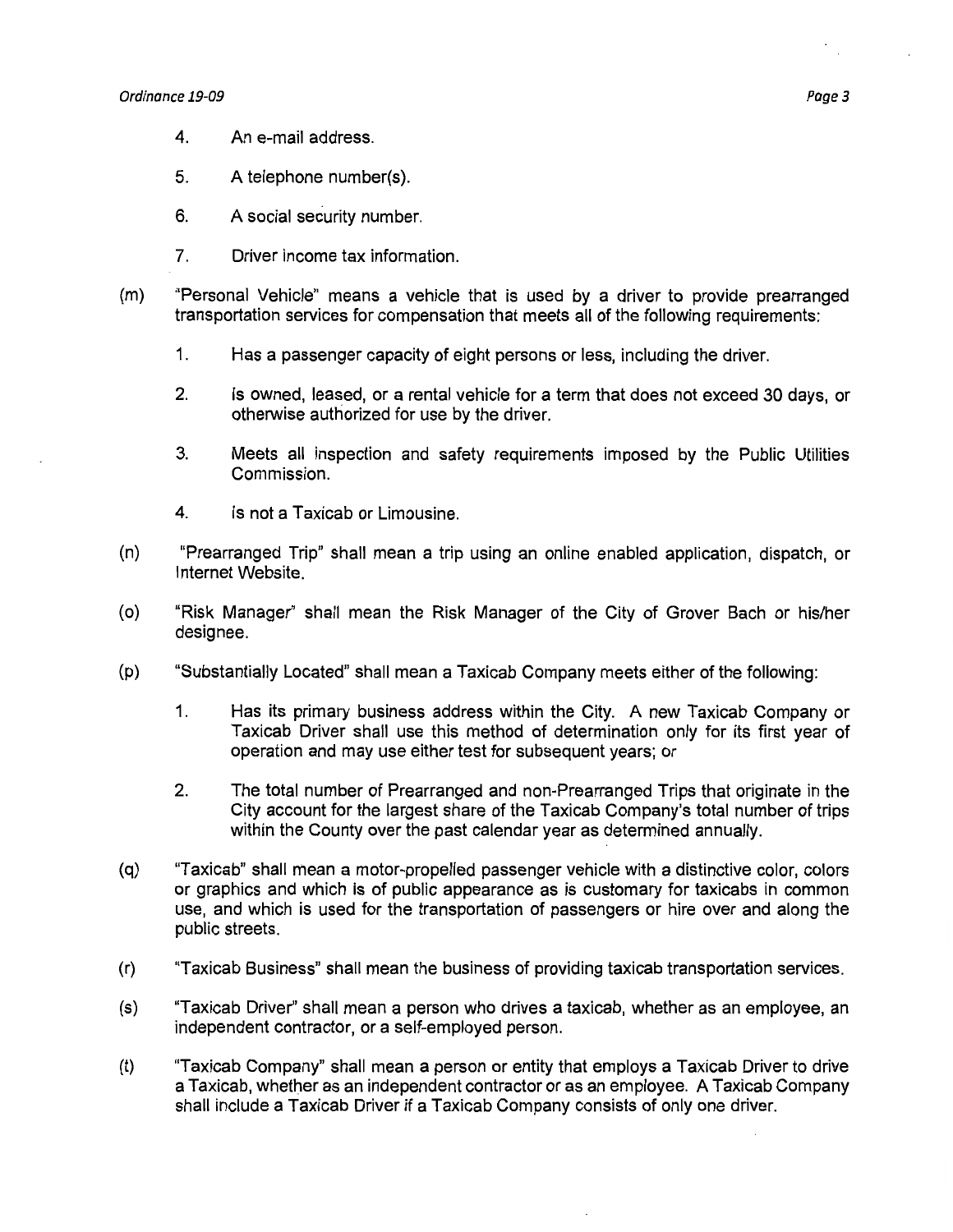- 4. An e-mail address.
- 5. A telephone number(s).
- 6. A social security number.
- 7. Driver income tax information.
- (m) "Personal Vehicle" means a vehicle that is used by a driver to provide prearranged transportation services for compensation that meets all of the following requirements:
	- 1. Has a passenger capacity of eight persons or less, including the driver.
	- 2. Is owned, leased, or a rental vehicle for a term that does not exceed 30 days, or otherwise authorized for use by the driver.
	- 3. Meets all inspection and safety requirements imposed by the Public Utilities Commission.
	- 4. Is not a Taxicab or Limousine.
- (n) "Prearranged Trip" shall mean a trip using an online enabled application, dispatch, or Internet Website.
- (o) "Risk Manager" shall mean the Risk Manager of the City of Grover Bach or his/her designee.
- (p) "Substantially Located" shall mean a Taxicab Company meets either of the following:
	- 1. Has its primary business address within the City. A new Taxicab Company or Taxicab Driver shall use this method of determination only for its first year of operation and may use either test for subsequent years; or
	- 2. The total number of Prearranged and non-Prearranged Trips that originate in the City account for the largest share of the Taxicab Company's total number of trips within the County over the past calendar year as determined annually.
- (q) "Taxicab" shall mean a motor-propelled passenger vehicle with a distinctive color, colors or graphics and which is of public appearance as is customary for taxicabs in common use, and which is used for the transportation of passengers or hire over and along the public streets.
- (r) "Taxicab Business" shall mean the business of providing taxicab transportation services.
- (s) "Taxicab Driver" shall mean a person who drives a taxicab, whether as an employee, an independent contractor, or a self-employed person.
- (t) "Taxicab Company" shall mean a person or entity that employs a Taxicab Driver to drive a Taxicab, whether as an independent contractor or as an employee. A Taxicab Company shall include a Taxicab Driver if a Taxicab Company consists of only one driver.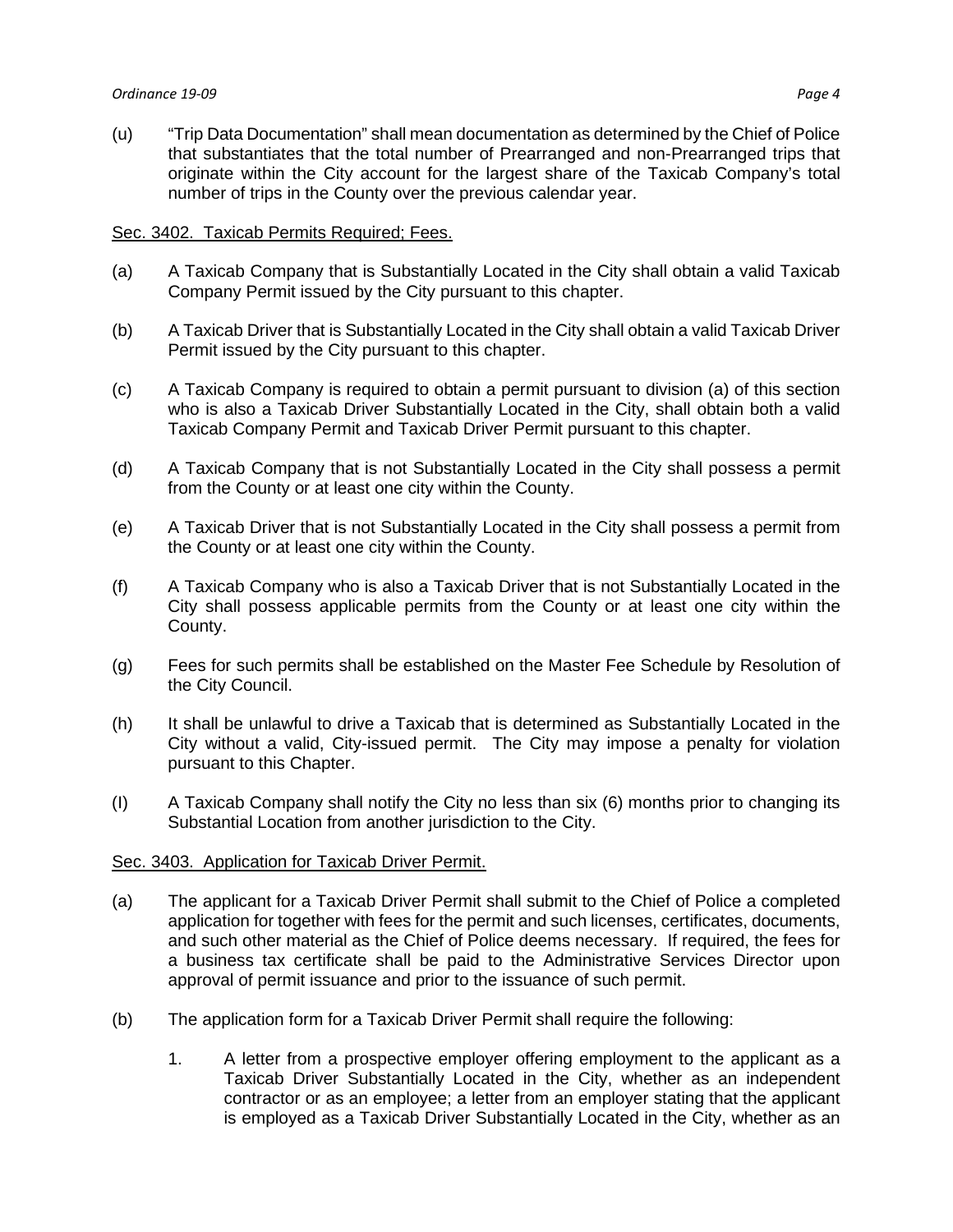(u) "Trip Data Documentation" shall mean documentation as determined by the Chief of Police that substantiates that the total number of Prearranged and non-Prearranged trips that originate within the City account for the largest share of the Taxicab Company's total number of trips in the County over the previous calendar year.

# Sec. 3402. Taxicab Permits Required; Fees.

- (a) A Taxicab Company that is Substantially Located in the City shall obtain a valid Taxicab Company Permit issued by the City pursuant to this chapter.
- (b) A Taxicab Driver that is Substantially Located in the City shall obtain a valid Taxicab Driver Permit issued by the City pursuant to this chapter.
- (c) A Taxicab Company is required to obtain a permit pursuant to division (a) of this section who is also a Taxicab Driver Substantially Located in the City, shall obtain both a valid Taxicab Company Permit and Taxicab Driver Permit pursuant to this chapter.
- (d) A Taxicab Company that is not Substantially Located in the City shall possess a permit from the County or at least one city within the County.
- (e) A Taxicab Driver that is not Substantially Located in the City shall possess a permit from the County or at least one city within the County.
- (f) A Taxicab Company who is also a Taxicab Driver that is not Substantially Located in the City shall possess applicable permits from the County or at least one city within the County.
- (g) Fees for such permits shall be established on the Master Fee Schedule by Resolution of the City Council.
- (h) It shall be unlawful to drive a Taxicab that is determined as Substantially Located in the City without a valid, City-issued permit. The City may impose a penalty for violation pursuant to this Chapter.
- (I) A Taxicab Company shall notify the City no less than six (6) months prior to changing its Substantial Location from another jurisdiction to the City.

# Sec. 3403. Application for Taxicab Driver Permit.

- (a) The applicant for a Taxicab Driver Permit shall submit to the Chief of Police a completed application for together with fees for the permit and such licenses, certificates, documents, and such other material as the Chief of Police deems necessary. If required, the fees for a business tax certificate shall be paid to the Administrative Services Director upon approval of permit issuance and prior to the issuance of such permit.
- (b) The application form for a Taxicab Driver Permit shall require the following:
	- 1. A letter from a prospective employer offering employment to the applicant as a Taxicab Driver Substantially Located in the City, whether as an independent contractor or as an employee; a letter from an employer stating that the applicant is employed as a Taxicab Driver Substantially Located in the City, whether as an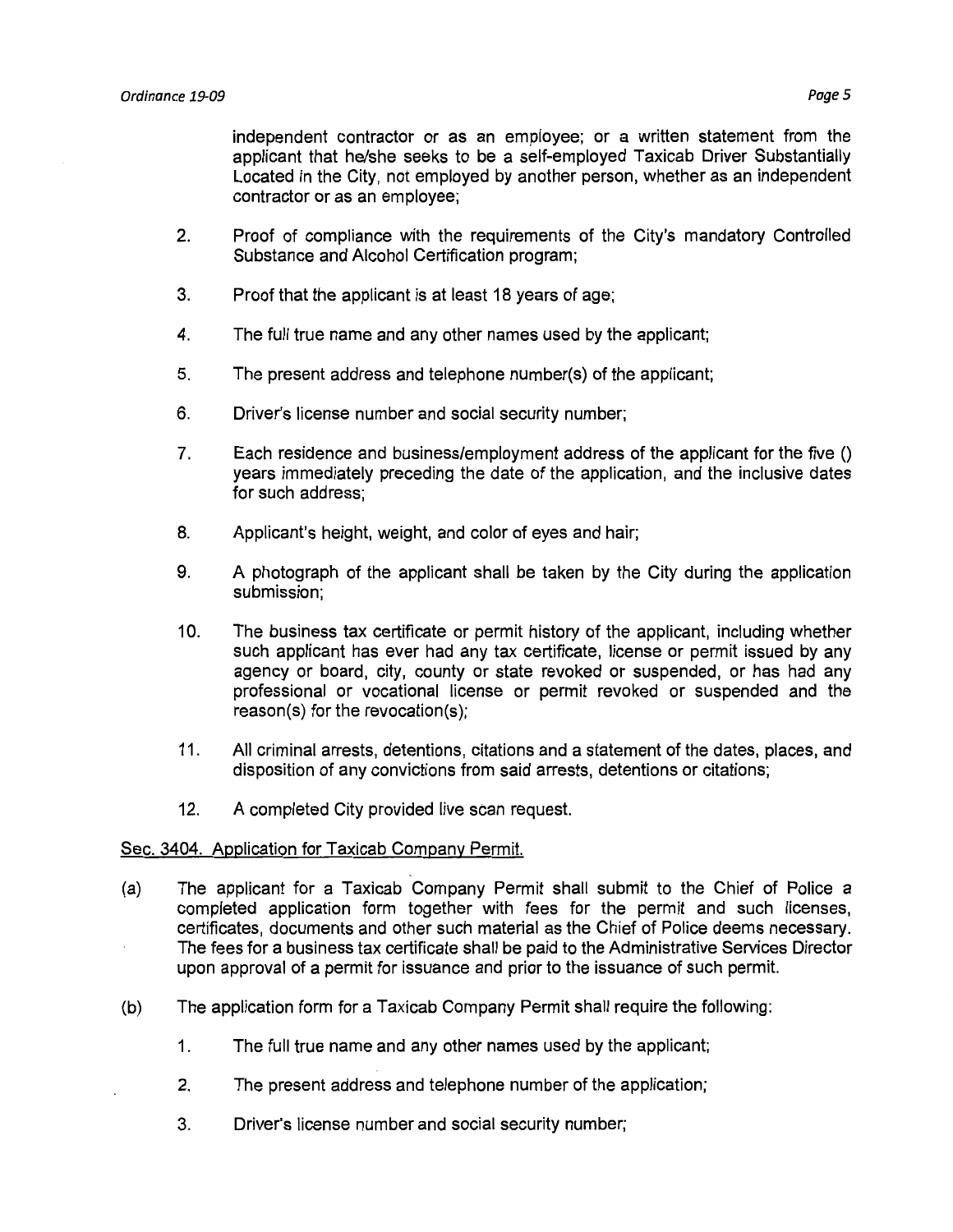independent contractor or as an employee; or a written statement from the applicant that he/she seeks to be a self-employed Taxicab Driver Substantially Located in the City, not employed by another person, whether as an independent contractor or as an employee;

- 2. Proof of compliance with the requirements of the City's mandatory Controlled Substance and Alcohol Certification program;
- 3. Proof that the applicant is at least 18 years of age;
- 4. The full true name and any other names used by the applicant;
- 5. The present address and telephone number(s) of the applicant;
- 6. Driver's license number and social security number;
- 7. Each residence and business/employment address of the applicant for the five () years immediately preceding the date of the application, and the inclusive dates for such address;
- 8. Applicant's height, weight, and color of eyes and hair;
- 9. A photograph of the applicant shall be taken by the City during the application submission;
- 10. The business tax certificate or permit history of the applicant, including whether such applicant has ever had any tax certificate, license or permit issued by any agency or board, city, county or state revoked or suspended, or has had any professional or vocational license or permit revoked or suspended and the reason(s) for the revocation(s);
- 11. All criminal arrests, detentions, citations and a statement of the dates, places, and disposition of any convictions from said arrests, detentions or citations;
- 12. A completed City provided live scan request.

# Sec. 3404. Application for Taxicab Company Permit.

- (a) The applicant for a Taxicab Company Permit shall submit to the Chief of Police a completed application form together with fees for the permit and such licenses, certificates, documents and other such material as the Chief of Police deems necessary. The fees for a business tax certificate shall be paid to the Administrative Services Director upon approval of a permit for issuance and prior to the issuance of such permit.
- (b) The application form for a Taxicab Company Permit shall require the following:
	- 1. The full true name and any other names used by the applicant;
	- 2. The present address and telephone number of the application;
	- 3. Driver's license number and social security number;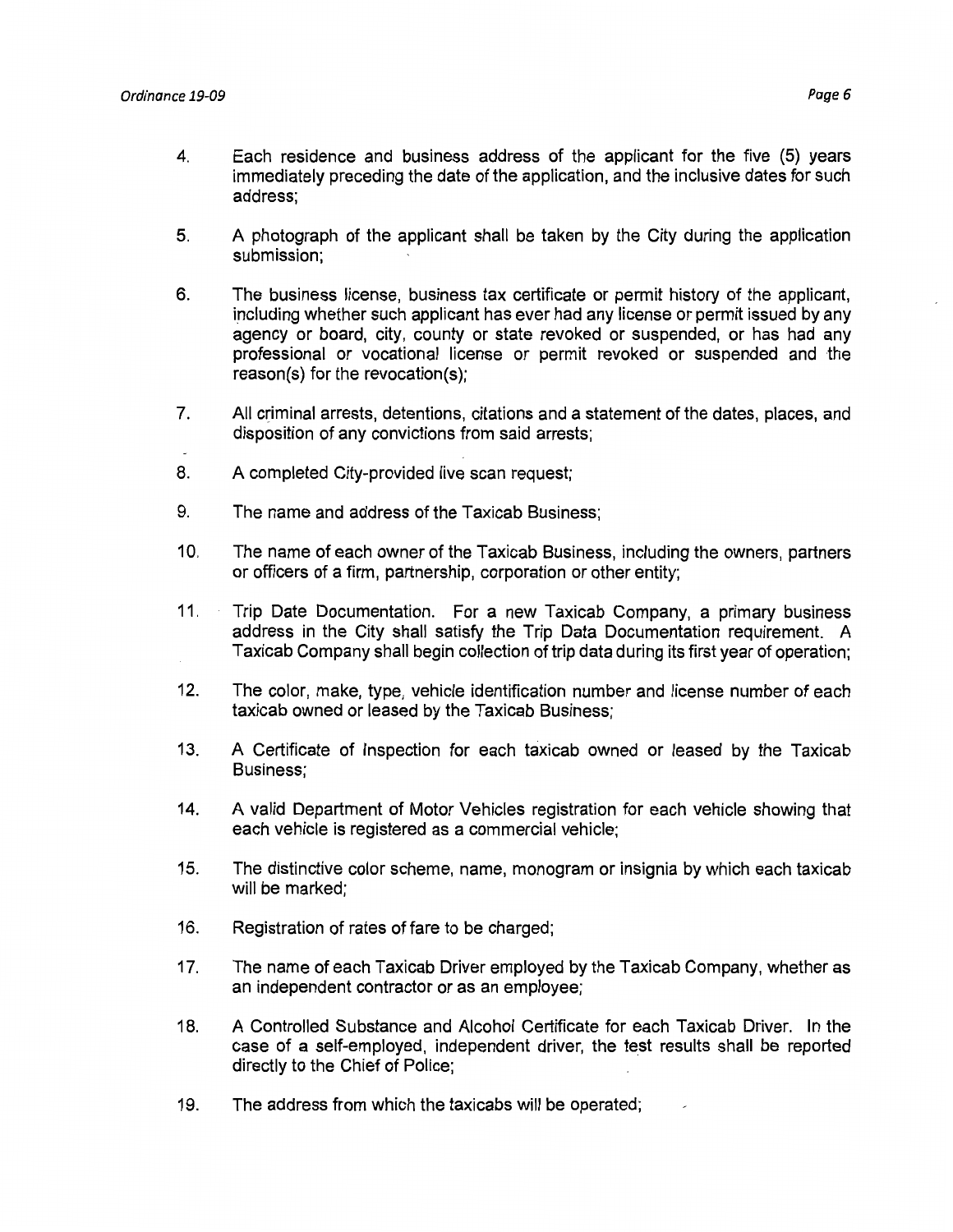- 5. A photograph of the applicant shall be taken by the City during the application submission;
- 6. The business license, business tax certificate or permit history of the applicant, including whether such applicant has ever had any license or permit issued by any agency or board, city, county or state revoked or suspended, or has had any professional or vocational license or permit revoked or suspended and the reason(s) for the revocation(s);
- 7. All criminal arrests, detentions, citations and a statement of the dates, places, and disposition of any convictions from said arrests;
- 8. A completed City-provided live scan request;
- 9. The name and address of the Taxicab Business;
- 10. The name of each owner of the Taxicab Business, including the owners, partners or officers of a firm, partnership, corporation or other entity;
- 11. Trip Date Documentation. For a new Taxicab Company, a primary business address in the City shall satisfy the Trip Data Documentation requirement. A Taxicab Company shall begin collection of trip data during its first year of operation;
- 12. The color, make, type, vehicle identification number and license number of each taxicab owned or leased by the Taxicab Business;
- 13. A Certificate of Inspection for each taxicab owned or leased by the Taxicab Business;
- 14. A valid Department of Motor Vehicles registration for each vehicle showing that each vehicle is registered as a commercial vehicle;
- 15. The distinctive color scheme, name, monogram or insignia by which each taxicab will be marked;
- 16. Registration of rates of fare to be charged;
- 17. The name of each Taxicab Driver employed by the Taxicab Company, whether as an independent contractor or as an employee;
- 18. A Controlled Substance and Alcohol Certificate for each Taxicab Driver. In the case of a self-employed, independent driver, the test results shall be reported directly to the Chief of Police;
- 19. The address from which the taxicabs will be operated;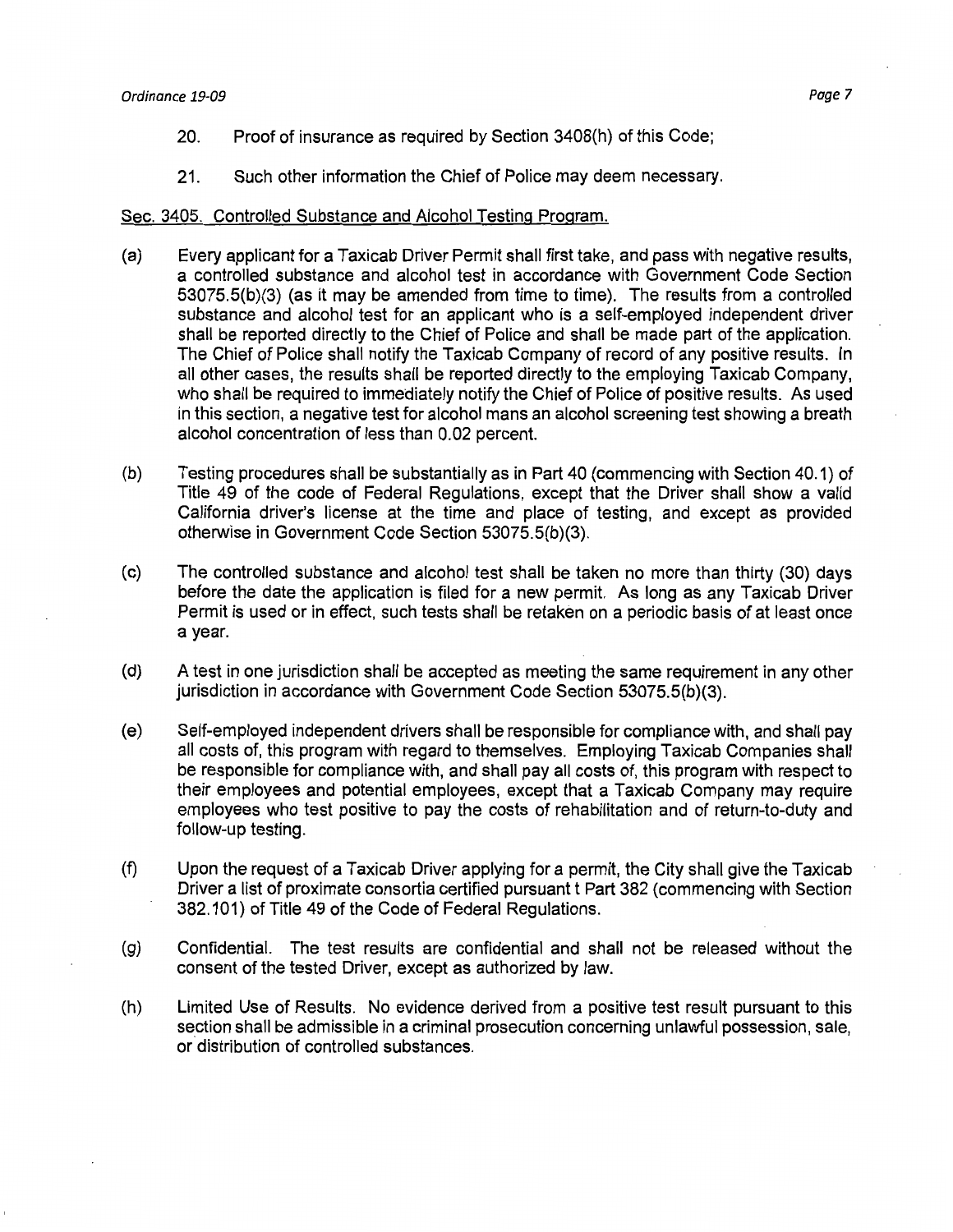- 20. Proof of insurance as required by Section 3408(h) of this Code;
- 21. Such other information the Chief of Police may deem necessary.

# Sec. 3405. Controlled Substance and Alcohol Testing Program.

- (a) Every applicant for a Taxicab Driver Permit shall first take, and pass with negative results, a controlled substance and alcohol test in accordance with Government Code Section 53075.5(b)(3) (as it may be amended from time to time). The results from a controlled substance and alcohol test for an applicant who is a self-employed independent driver shall be reported directly to the Chief of Police and shall be made part of the application. The Chief of Police shall notify the Taxicab Company of record of any positive results. In all other cases, the results shall be reported directly to the employing Taxicab Company, who shall be required to immediately notify the Chief of Police of positive results. As used in this section, a negative test for alcohol mans an alcohol screening test showing a breath alcohol concentration of less than 0.02 percent.
- (b) Testing procedures shall be substantially as in Part 40 (commencing with Section 40.1) of Title 49 of the code of Federal Regulations, except that the Driver shall show a valid California driver's license at the time and place of testing, and except as provided otherwise in Government Code Section 53075.5(b)(3).
- (c) The controlled substance and alcohol test shall be taken no more than thirty (30) days before the date the application is filed for a new permit. As long as any Taxicab Driver Permit is used or in effect, such tests shall be retaken on a periodic basis of at least once a year.
- (d) A test in one jurisdiction shall be accepted as meeting the same requirement in any other jurisdiction in accordance with Government Code Section 53075.5(b)(3).
- (e) Self-employed independent drivers shall be responsible for compliance with, and shall pay all costs of, this program with regard to themselves. Employing Taxicab Companies shall be responsible for compliance with, and shall pay all costs of, this program with respect to their employees and potential employees, except that a Taxicab Company may require employees who test positive to pay the costs of rehabilitation and of return-to-duty and follow-up testing.
- (f) Upon the request of a Taxicab Driver applying for a permit, the City shall give the Taxicab Driver a list of proximate consortia certified pursuant t Part 382 (commencing with Section 382.101) of Title 49 of the Code of Federal Regulations.
- (g) Confidential. The test results are confidential and shall not be released without the consent of the tested Driver, except as authorized by law.
- (h) Limited Use of Results. No evidence derived from a positive test result pursuant to this section shall be admissible in a criminal prosecution concerning unlawful possession, sale, or distribution of controlled substances.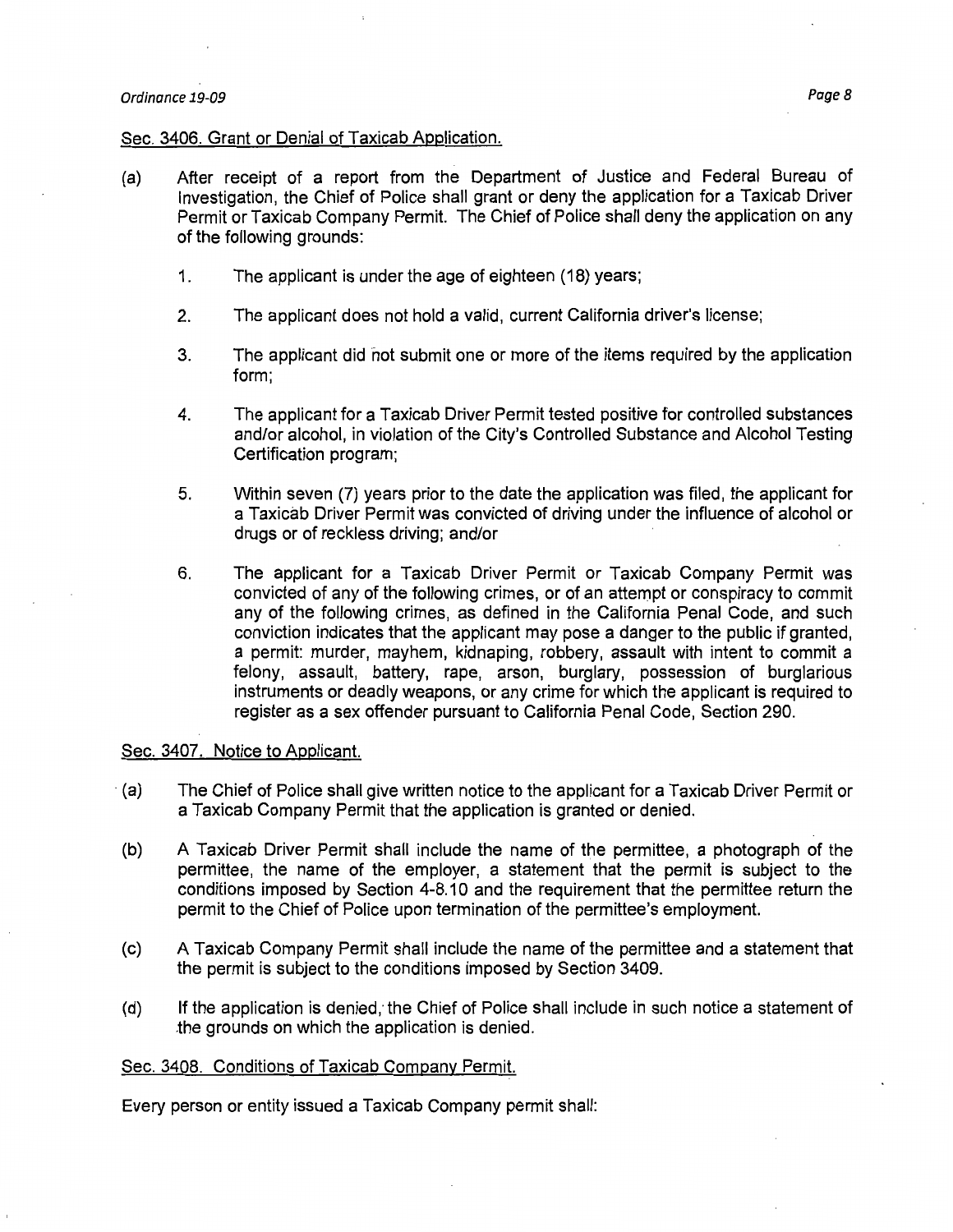### Sec. 3406. Grant or Denial of Taxicab Application.

- (a) After receipt of a report from the Department of Justice and Federal Bureau of Investigation, the Chief of Police shall grant or deny the application for a Taxicab Driver Permit or Taxicab Company Permit. The Chief of Police shall deny the application on any of the following grounds:
	- 1. The applicant is under the age of eighteen (18) years;
	- 2. The applicant does not hold a valid, current California driver's license;
	- 3. The applicant did not submit one or more of the items required by the application form;
	- 4. The applicant for a Taxicab Driver Permit tested positive for controlled substances and/or alcohol, in violation of the City's Controlled Substance and Alcohol Testing Certification program;
	- 5. Within seven (7) years prior to the date the application was filed, the applicant for a Taxicab Driver Permit was convicted of driving under the influence of alcohol or drugs or of reckless driving; and/or
	- 6. The applicant for a Taxicab Driver Permit or Taxicab Company Permit was convicted of any of the following crimes, or of an attempt or conspiracy to commit any of the following crimes, as defined in the California Penal Code, and such conviction indicates that the applicant may pose a danger to the public if granted, a permit: murder, mayhem, kidnaping, robbery, assault with intent to commit a felony, assault, battery, rape, arson, burglary, possession of burglarious instruments or deadly weapons, or any crime for which the applicant is required to register as a sex offender pursuant to California Penal Code, Section 290.

# Sec. 3407. Notice to Applicant.

- · (a) The Chief of Police shall give written notice to the applicant for a Taxicab Driver Permit or a Taxicab Company Permit that the application is granted or denied.
- (b) A Taxicab Driver Permit shall include the name of the permittee, a photograph of the permittee, the name of the employer, a statement that the permit is subject to the conditions imposed by Section 4-8.10 and the requirement that the permittee return the permit to the Chief of Police upon termination of the permittee's employment.
- (c) A Taxicab Company Permit shall include the name of the permittee and a statement that the permit is subject to the conditions imposed by Section 3409.
- (d) If the application is denied, the Chief of Police shall include in such notice a statement of .the grounds on which the application is denied.

# Sec. 3408. Conditions of Taxicab Company Permit.

Every person or entity issued a Taxicab Company permit shall: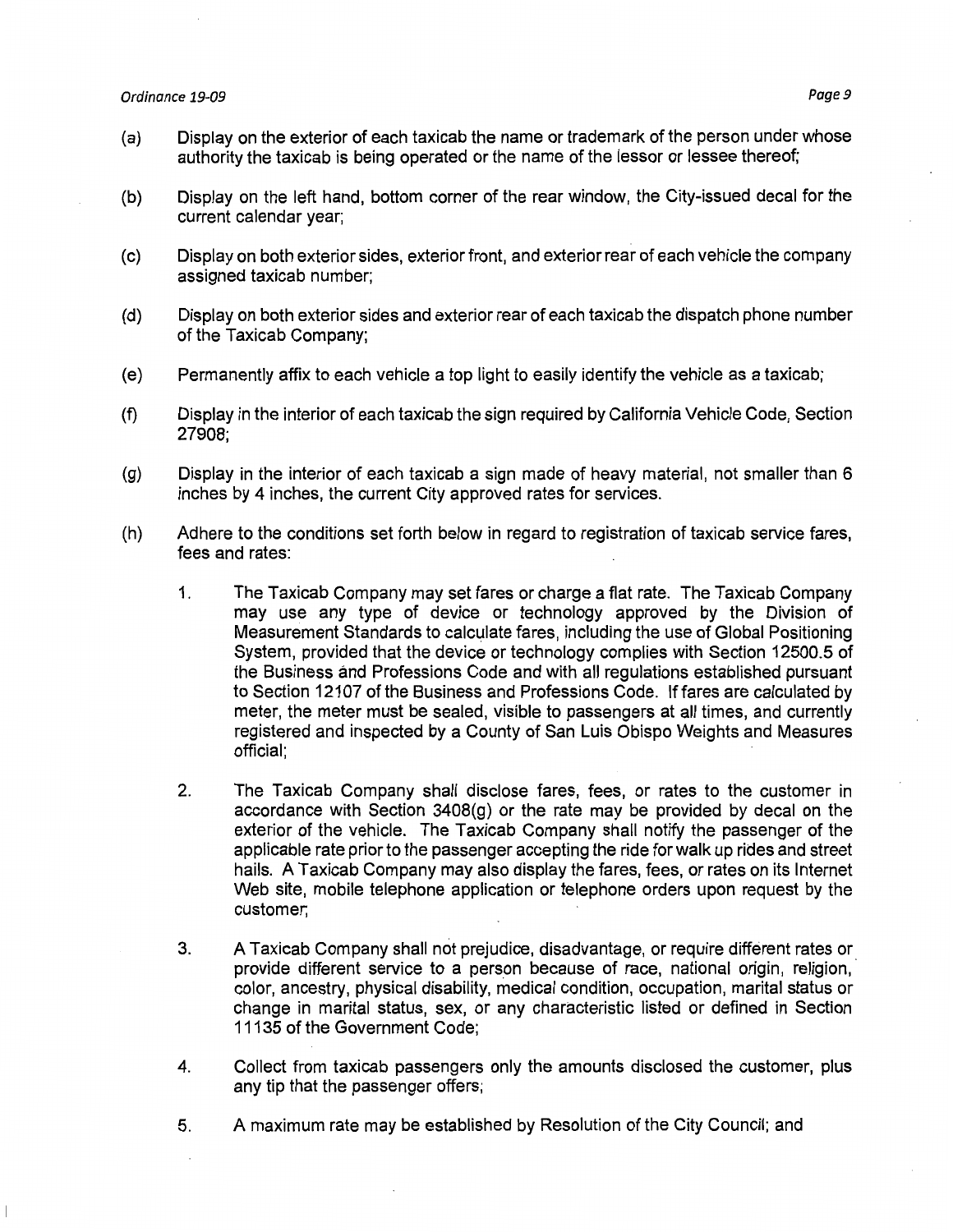- (a) Display on the exterior of each taxicab the name or trademark of the person under whose authority the taxicab is being operated or the name of the lessor or lessee thereof;
- (b) Display on the left hand, bottom corner of the rear window, the City-issued decal for the current calendar year;
- ( c) Display on both exterior sides, exterior front, and exterior rear of each vehicle the company assigned taxicab number;
- (d) Display on both exterior sides and exterior rear of each taxicab the dispatch phone number of the Taxicab Company;
- (e) Permanently affix to each vehicle a top light to easily identify the vehicle as a taxicab;
- (f) Display in the interior of each taxicab the sign required by California Vehicle Code, Section 27908;
- (g) Display in the interior of each taxicab a sign made of heavy material, not smaller than 6 inches by 4 inches, the current City approved rates for services.
- (h) Adhere to the conditions set forth below in regard to registration of taxicab service fares, fees and rates:
	- 1. The Taxicab Company may set fares or charge a flat rate. The Taxicab Company may use any type of device or technology approved by the Division of Measurement Standards to calculate fares, including the use of Global Positioning System, provided that the device or technology complies with Section 12500.5 of the Business and Professions Code and with all regulations established pursuant to Section 12107 of the Business and Professions Code. lffares are calculated by meter, the meter must be sealed, visible to passengers at all times, and currently registered and inspected by a County of San Luis Obispo Weights and Measures official;
	- 2. The Taxicab Company shall disclose fares, fees, or rates to the customer in accordance with Section  $3408(g)$  or the rate may be provided by decal on the exterior of the vehicle. The Taxicab Company shall notify the passenger of the applicable rate prior to the passenger accepting the ride for walk up rides and street hails. A Taxicab Company may also display the fares, fees, or rates on its Internet Web site, mobile telephone application or telephone orders upon request by the customer;
	- 3. A Taxicab Company shall not prejudice, disadvantage, or require different rates or provide different service to a person because of race, national origin, religion, color, ancestry, physical disability, medical condition, occupation, marital status or change in marital status, sex, or any characteristic listed or defined in Section 11135 of the Government Code;
	- 4. Collect from taxicab passengers only the amounts disclosed the customer, plus any tip that the passenger offers;
	- 5. A maximum rate may be established by Resolution of the City Council; and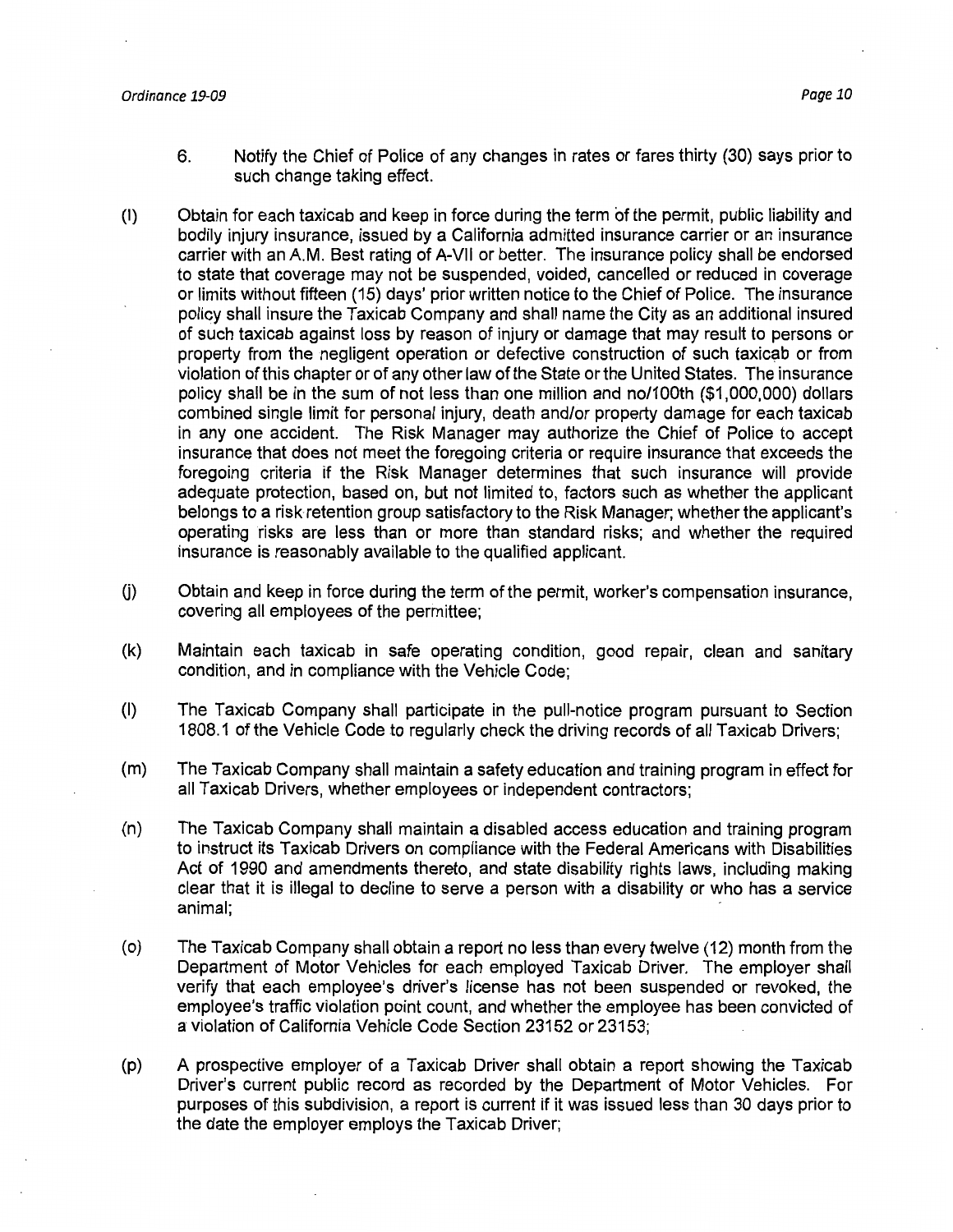- 6. Notify the Chief of Police of any changes in rates or fares thirty (30) says prior to such change taking effect.
- (I) Obtain for each taxicab and keep in force during the term of the permit, public liability and bodily injury insurance, issued by a California admitted insurance carrier or an insurance carrier with an A.M. Best rating of A-VII or better. The insurance policy shall be endorsed to state that coverage may not be suspended, voided, cancelled or reduced in coverage or limits without fifteen (15) days' prior written notice to the Chief of Police. The insurance policy shall insure the Taxicab Company and shall name the City as an additional insured of such taxicab against loss by reason of injury or damage that may result to persons or property from the negligent operation or defective construction of such taxicab or from violation of this chapter or of any other law of the State or the United States. The insurance policy shall be in the sum of not less than one million and no/100th (\$1,000,000) dollars combined single limit for personal injury, death and/or property damage for each taxicab in any one accident. The Risk Manager may authorize the Chief of Police to accept insurance that does not meet the foregoing criteria or require insurance that exceeds the foregoing criteria if the Risk Manager determines that such insurance will provide adequate protection, based on, but not limited to, factors such as whether the applicant belongs to a risk retention group satisfactory to the Risk Manager; whether the applicant's operating risks are less than or more than standard risks; and whether the required insurance is reasonably available to the qualified applicant.
- U) Obtain and keep in force during the term of the permit, worker's compensation insurance, covering all employees of the permittee;
- (k) Maintain each taxicab in safe operating condition, good repair, clean and sanitary condition, and in compliance with the Vehicle Code;
- (I) The Taxicab Company shall participate in the pull-notice program pursuant to Section 1808.1 of the Vehicle Code to regularly check the driving records of all Taxicab Drivers;
- (m) The Taxicab Company shall maintain a safety education and training program in effect for all Taxicab Drivers, whether employees or independent contractors;
- (n) The Taxicab Company shall maintain a disabled access education and training program to instruct its Taxicab Drivers on compliance with the Federal Americans with Disabilities Act of 1990 and amendments thereto, and state disability rights laws, including making clear that it is illegal to decline to serve a person with a disability or who has a service animal; -
- (o) The Taxicab Company shall obtain a report no less than every twelve (12) month from the Department of Motor Vehicles for each employed Taxicab Driver. The employer shall verify that each employee's driver's license has not been suspended or revoked, the employee's traffic violation point count, and whether the employee has been convicted of a violation of California Vehicle Code Section 23152 or 23153;
- (p) A prospective employer of a Taxicab Driver shall obtain a report showing the Taxicab Driver's current public record as recorded by the Department of Motor Vehicles. For purposes of this subdivision, a report is current if it was issued less than 30 days prior to the date the employer employs the Taxicab Driver;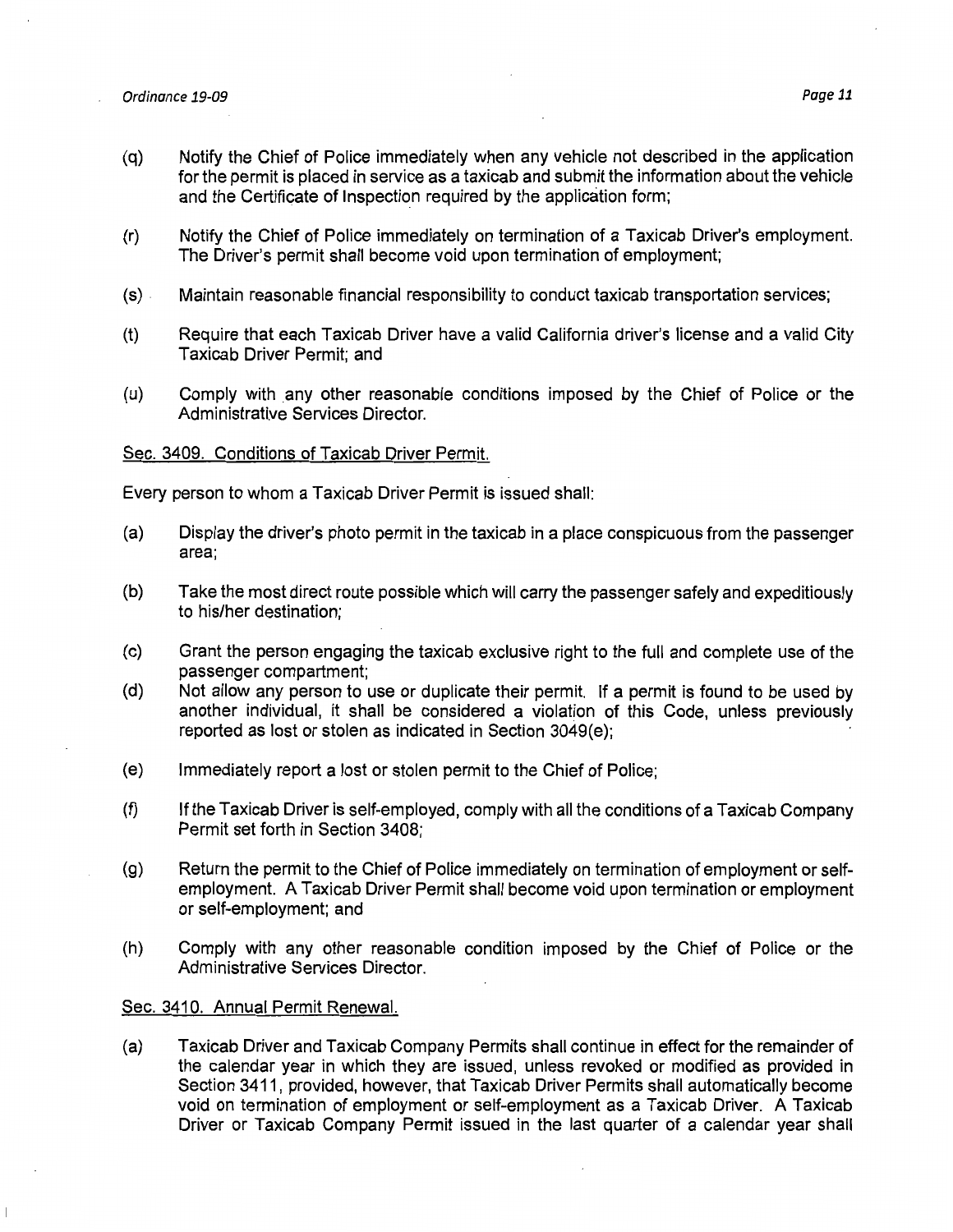- (q) Notify the Chief of Police immediately when any vehicle not described in the application for the permit is placed in service as a taxicab and submit the information about the vehicle and the Certificate of Inspection required by the application form;
- (r) Notify the Chief of Police immediately on termination of a Taxicab Driver's employment. The Driver's permit shall become void upon termination of employment;
- (s) . Maintain reasonable financial responsibility to conduct taxicab transportation services;
- (t) Require that each Taxicab Driver have a valid California driver's license and a valid City Taxicab Driver Permit; and
- (u) Comply with any other reasonable conditions imposed by the Chief of Police or the Administrative Services Director.

# Sec. 3409. Conditions of Taxicab Driver Permit.

Every person to whom a Taxicab Driver Permit is issued shall:

- (a) Display the driver's photo permit in the taxicab in a place conspicuous from the passenger area;
- (b) Take the most direct route possible which will carry the passenger safely and expeditiously to his/her destination;
- (c) Grant the person engaging the taxicab exclusive right to the full and complete use of the passenger compartment;
- (d) Not allow any person to use or duplicate their permit. If a permit is found to be used by another individual, it shall be considered a violation of this Code, unless previously reported as lost or stolen as indicated in Section 3049(e);
- (e) Immediately report a lost or stolen permit to the Chief of Police;
- (f) If the Taxicab Driver is self-employed, comply with all the conditions of a Taxicab Company Permit set forth in Section 3408;
- (g) Return the permit to the Chief of Police immediately on termination of employment or selfemployment. A Taxicab Driver Permit shall become void upon termination or employment or self-employment; and
- (h) Comply with any other reasonable condition imposed by the Chief of Police or the Administrative Services Director.

# Sec. 3410. Annual Permit Renewal.

(a) Taxicab Driver and Taxicab Company Permits shall continue in effect for the remainder of the calendar year in which they are issued, unless revoked or modified as provided in Section 3411, provided, however, that Taxicab Driver Permits shall automatically become void on termination of employment or self-employment as a Taxicab Driver. A Taxicab Driver or Taxicab Company Permit issued in the last quarter of a calendar year shall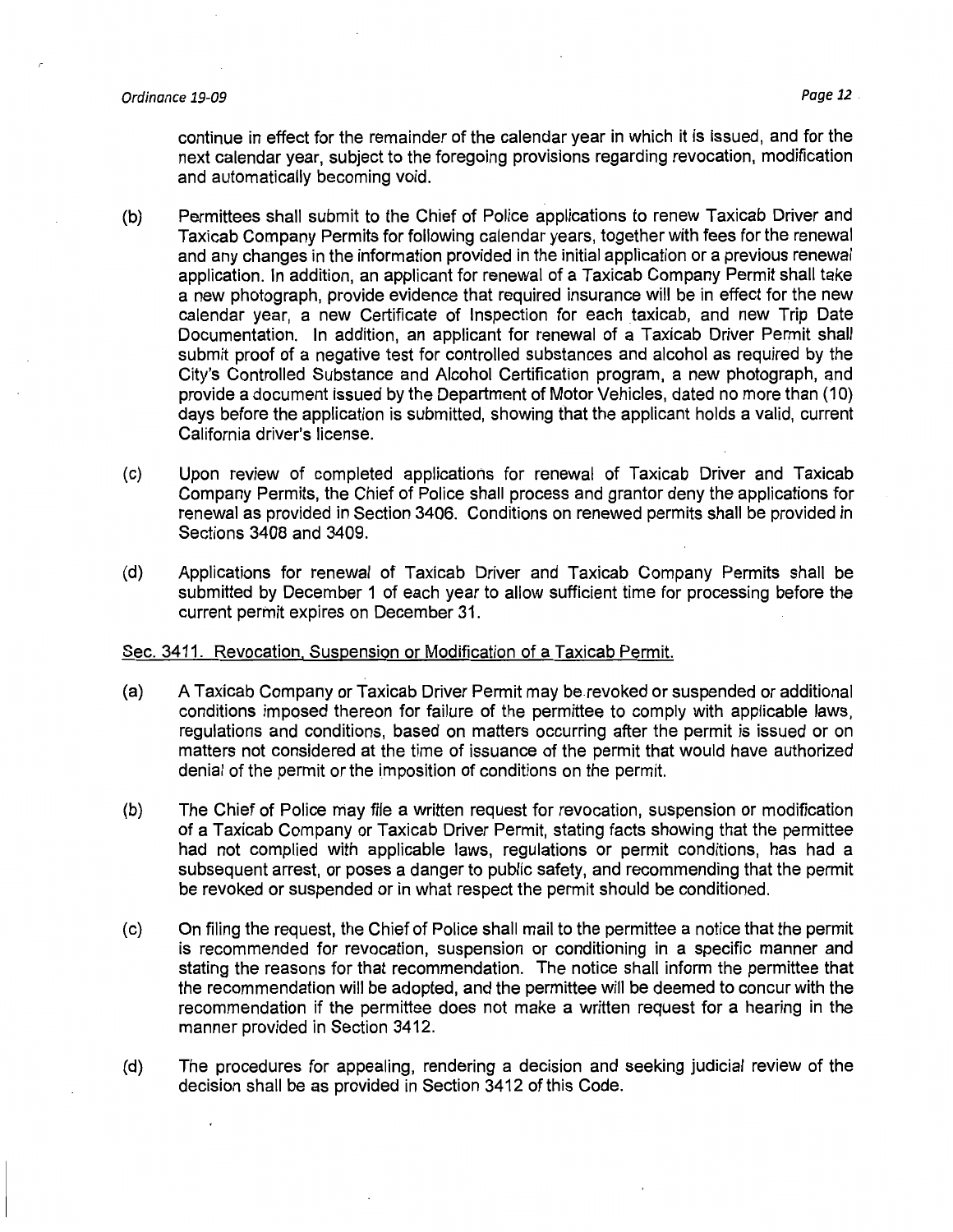### Ordinance 19-09 Page 12

continue in effect for the remainder of the calendar year in which it is issued, and for the next calendar year, subject to the foregoing provisions regarding revocation, modification and automatically becoming void.

- (b) Permittees shall submit to the Chief of Police applications to renew Taxicab Driver and Taxicab Company Permits for following calendar years, together with fees for the renewal and any changes in the information provided in the initial application or a previous renewal application. In addition, an applicant for renewal of a Taxicab Company Permit shall take a new photograph, provide evidence that required insurance will be in effect for the new calendar year, a new Certificate of Inspection for each taxicab, and new Trip Date Documentation. In addition, an applicant for renewal of a Taxicab Driver Permit shall submit proof of a negative test for controlled substances and alcohol as required by the City's Controlled Substance and Alcohol Certification program, a new photograph, and provide a document issued by the Department of Motor Vehicles, dated no more than (10) days before the application is submitted, showing that the applicant holds a valid, current California driver's license.
- (c) Upon review of completed applications for renewal of Taxicab Driver and Taxicab Company Permits, the Chief of Police shall process and granter deny the applications for renewal as provided in Section 3406. Conditions on renewed permits shall be provided in Sections 3408 and 3409.
- (d) Applications for renewal of Taxicab Driver and Taxicab Company Permits shall be submitted by December 1 of each year to allow sufficient time for processing before the current permit expires on December 31.

#### Sec. 3411. Revocation, Suspension or Modification of a Taxicab Permit.

- (a) A Taxicab Company or Taxicab Driver Permit may be revoked or suspended or additional conditions imposed thereon for failure of the permittee to comply with applicable laws, regulations and conditions, based on matters occurring after the permit is issued or on matters not considered at the time of issuance of the permit that would have authorized denial of the permit or the imposition of conditions on the permit.
- (b) The Chief of Police may file a written request for revocation, suspension or modification of a Taxicab Company or Taxicab Driver Permit, stating facts showing that the permittee had not complied with applicable laws, regulations or permit conditions, has had a subsequent arrest, or poses a danger to public safety, and recommending that the permit be revoked or suspended or in what respect the permit should be conditioned.
- (c) On filing the request, the Chief of Police shall mail to the permittee a notice that the permit is recommended for revocation, suspension or conditioning in a specific manner and stating the reasons for that recommendation. The notice shall inform the permittee that the recommendation will be adopted, and the permittee will be deemed to concur with the recommendation if the permittee does not make a written request for a hearing in the manner provided in Section 3412.
- (d) The procedures for appealing, rendering a decision and seeking judicial review of the decision shall be as provided in Section 3412 of this Code.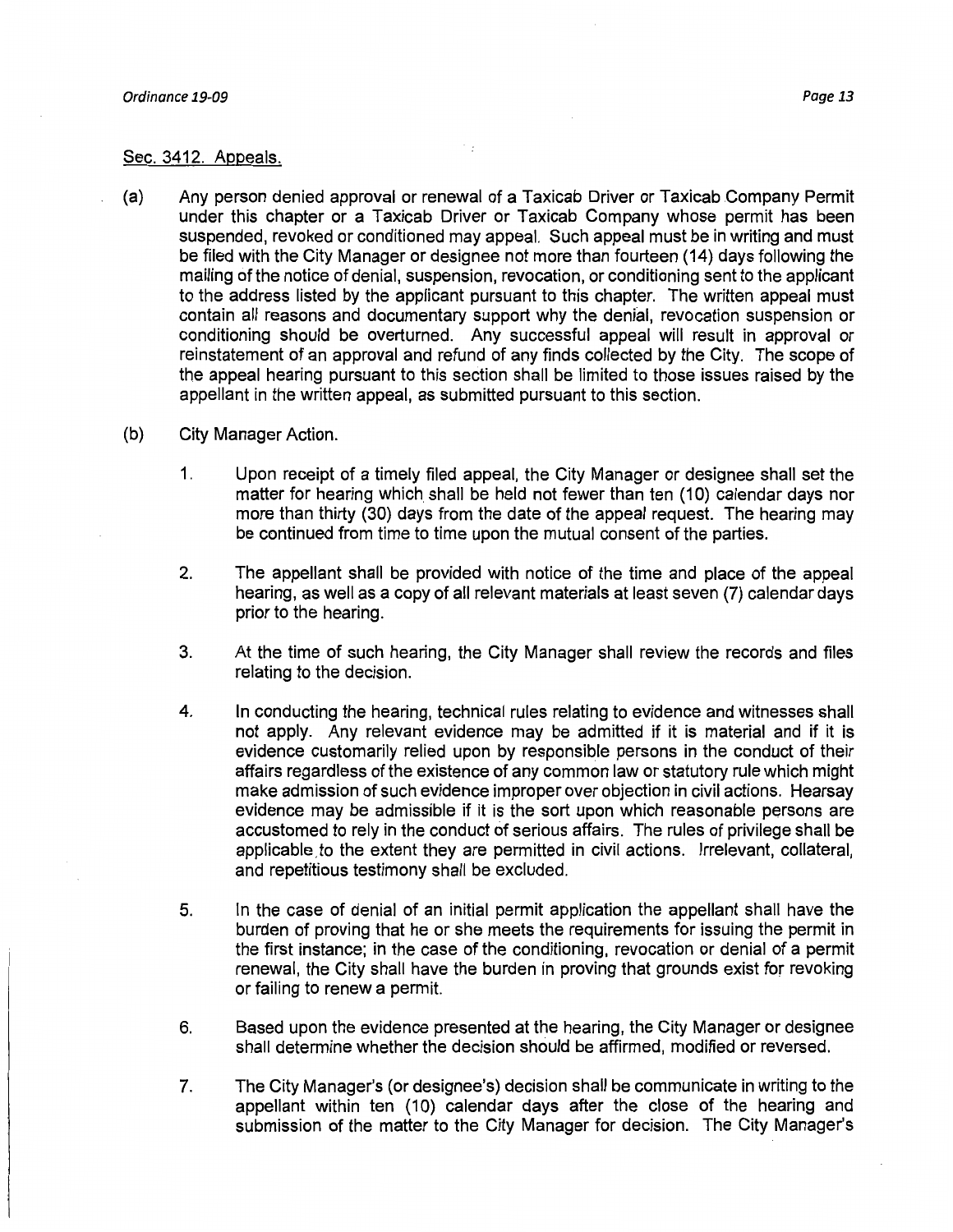# Sec. 3412. Appeals.

- (a) Any person denied approval or renewal of a Taxicab Driver or Taxicab Company Permit under this chapter or a Taxicab Driver or Taxicab Company whose permit has been suspended, revoked or conditioned may appeal. Such appeal must be in writing and must be filed with the City Manager or designee not more than fourteen (14) days following the mailing of the notice of denial, suspension, revocation, or conditioning sent to the applicant to the address listed by the applicant pursuant to this chapter. The written appeal must contain all reasons and documentary support why the denial, revocation suspension or conditioning should be overturned. Any successful appeal will result in approval or reinstatement of an approval and refund of any finds collected by the City. The scope of the appeal hearing pursuant to this section shall be limited to those issues raised by the appellant in the written appeal, as submitted pursuant to this section.
- (b) City Manager Action.
	- 1. Upon receipt of a timely filed appeal, the City Manager or designee shall set the matter for hearing which shall be held not fewer than ten (10) calendar days nor more than thirty (30) days from the date of the appeal request. The hearing may be continued from time to time upon the mutual consent of the parties.
	- 2. The appellant shall be provided with notice of the time and place of the appeal hearing, as well as a copy of all relevant materials at least seven (7) calendar days prior to the hearing.
	- 3. At the time of such hearing, the City Manager shall review the records and files relating to the decision.
	- 4. In conducting the hearing, technical rules relating to evidence and witnesses shall not apply. Any relevant evidence may be admitted if it is material and if it is evidence customarily relied upon by responsible persons in the conduct of their affairs regardless of the existence of any common law or statutory rule which might make admission of such evidence improper over objection in civil actions. Hearsay evidence may be admissible if it is the sort upon which reasonable persons are accustomed to rely in the conduct of serious affairs. The rules of privilege shall be applicable to the extent they are permitted in civil actions. Irrelevant, collateral, and repetitious testimony shall be excluded.
	- 5. In the case of denial of an initial permit application the appellant shall have the burden of proving that he or she meets the requirements for issuing the permit in the first instance; in the case of the conditioning, revocation or denial of a permit renewal, the City shall have the burden in proving that grounds exist for revoking or failing to renew a permit.
	- 6. Based upon the evidence presented at the hearing, the City Manager or designee shall determine whether the decision should be affirmed, modified or reversed.
	- 7. The City Manager's (or designee's) decision shall be communicate in writing to the appellant within ten (10) calendar days after the close of the hearing and submission of the matter to the City Manager for decision. The City Manager's